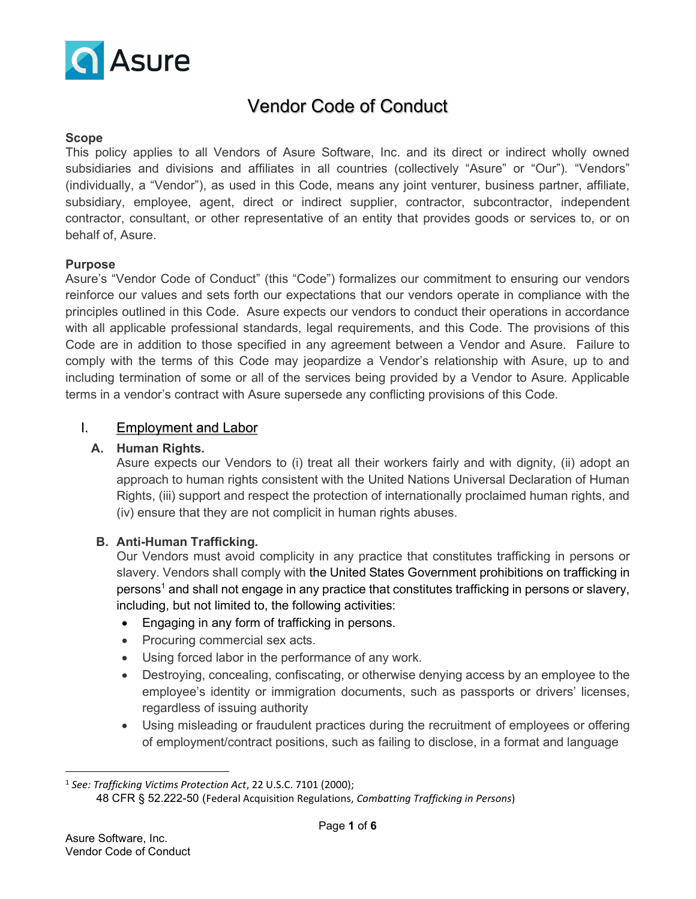

# Vendor Code of Conduct

#### Scope

This policy applies to all Vendors of Asure Software, Inc. and its direct or indirect wholly owned subsidiaries and divisions and affiliates in all countries (collectively "Asure" or "Our"). "Vendors" (individually, a "Vendor"), as used in this Code, means any joint venturer, business partner, affiliate, subsidiary, employee, agent, direct or indirect supplier, contractor, subcontractor, independent contractor, consultant, or other representative of an entity that provides goods or services to, or on behalf of, Asure.

#### Purpose

Asure's "Vendor Code of Conduct" (this "Code") formalizes our commitment to ensuring our vendors reinforce our values and sets forth our expectations that our vendors operate in compliance with the principles outlined in this Code. Asure expects our vendors to conduct their operations in accordance with all applicable professional standards, legal requirements, and this Code. The provisions of this Code are in addition to those specified in any agreement between a Vendor and Asure. Failure to comply with the terms of this Code may jeopardize a Vendor's relationship with Asure, up to and including termination of some or all of the services being provided by a Vendor to Asure. Applicable terms in a vendor's contract with Asure supersede any conflicting provisions of this Code.

#### I. Employment and Labor

#### A. Human Rights.

Asure expects our Vendors to (i) treat all their workers fairly and with dignity, (ii) adopt an approach to human rights consistent with the United Nations Universal Declaration of Human Rights, (iii) support and respect the protection of internationally proclaimed human rights, and (iv) ensure that they are not complicit in human rights abuses.

#### B. Anti-Human Trafficking.

Our Vendors must avoid complicity in any practice that constitutes trafficking in persons or slavery. Vendors shall comply with the United States Government prohibitions on trafficking in persons<sup>1</sup> and shall not engage in any practice that constitutes trafficking in persons or slavery, including, but not limited to, the following activities:

- Engaging in any form of trafficking in persons.
- Procuring commercial sex acts.
- Using forced labor in the performance of any work.
- Destroying, concealing, confiscating, or otherwise denying access by an employee to the employee's identity or immigration documents, such as passports or drivers' licenses, regardless of issuing authority
- Using misleading or fraudulent practices during the recruitment of employees or offering of employment/contract positions, such as failing to disclose, in a format and language

<sup>&</sup>lt;sup>1</sup> See: Trafficking Victims Protection Act, 22 U.S.C. 7101 (2000);

48 CFR § 52.222-50 (Federal Acquisition Regulations, Combatting Trafficking in Persons)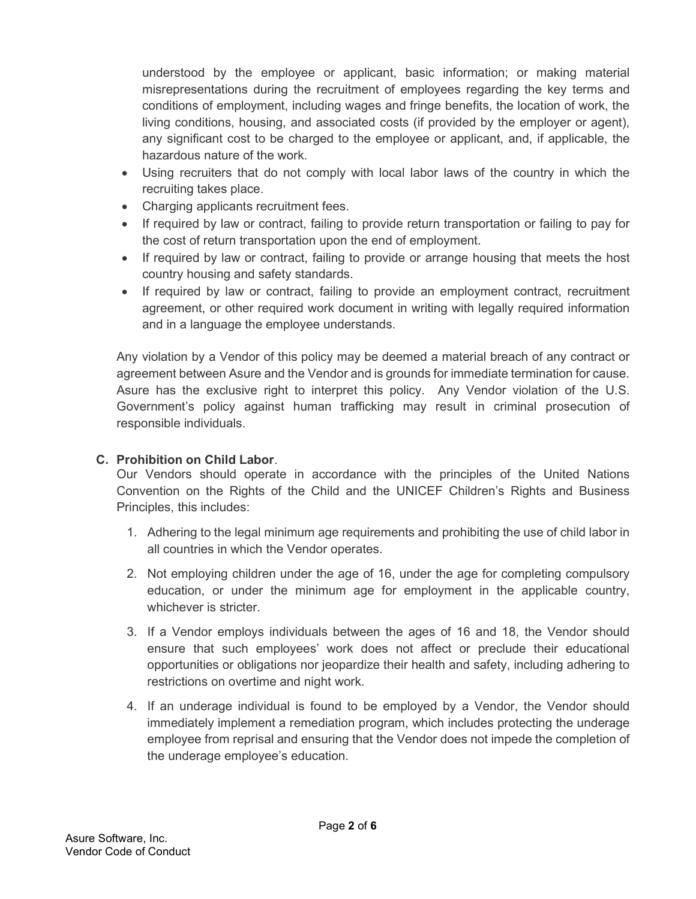understood by the employee or applicant, basic information; or making material misrepresentations during the recruitment of employees regarding the key terms and conditions of employment, including wages and fringe benefits, the location of work, the living conditions, housing, and associated costs (if provided by the employer or agent), any significant cost to be charged to the employee or applicant, and, if applicable, the hazardous nature of the work.

- Using recruiters that do not comply with local labor laws of the country in which the recruiting takes place.
- Charging applicants recruitment fees.
- If required by law or contract, failing to provide return transportation or failing to pay for the cost of return transportation upon the end of employment.
- If required by law or contract, failing to provide or arrange housing that meets the host country housing and safety standards.
- If required by law or contract, failing to provide an employment contract, recruitment agreement, or other required work document in writing with legally required information and in a language the employee understands.

Any violation by a Vendor of this policy may be deemed a material breach of any contract or agreement between Asure and the Vendor and is grounds for immediate termination for cause. Asure has the exclusive right to interpret this policy. Any Vendor violation of the U.S. Government's policy against human trafficking may result in criminal prosecution of responsible individuals.

#### C. Prohibition on Child Labor.

Our Vendors should operate in accordance with the principles of the United Nations Convention on the Rights of the Child and the UNICEF Children's Rights and Business Principles, this includes:

- 1. Adhering to the legal minimum age requirements and prohibiting the use of child labor in all countries in which the Vendor operates.
- 2. Not employing children under the age of 16, under the age for completing compulsory education, or under the minimum age for employment in the applicable country, whichever is stricter.
- 3. If a Vendor employs individuals between the ages of 16 and 18, the Vendor should ensure that such employees' work does not affect or preclude their educational opportunities or obligations nor jeopardize their health and safety, including adhering to restrictions on overtime and night work.
- 4. If an underage individual is found to be employed by a Vendor, the Vendor should immediately implement a remediation program, which includes protecting the underage employee from reprisal and ensuring that the Vendor does not impede the completion of the underage employee's education.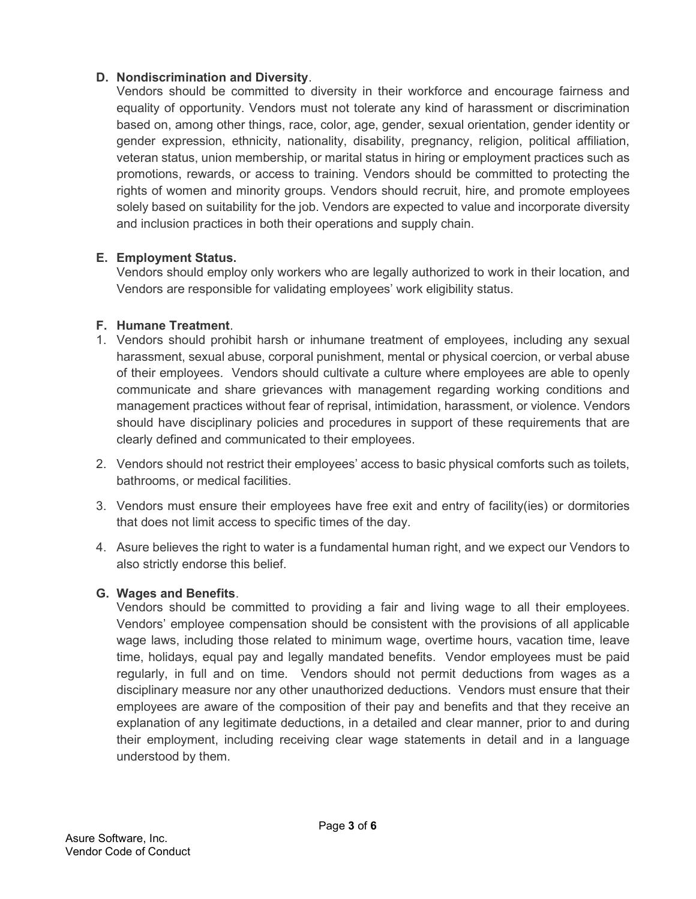### D. Nondiscrimination and Diversity.

Vendors should be committed to diversity in their workforce and encourage fairness and equality of opportunity. Vendors must not tolerate any kind of harassment or discrimination based on, among other things, race, color, age, gender, sexual orientation, gender identity or gender expression, ethnicity, nationality, disability, pregnancy, religion, political affiliation, veteran status, union membership, or marital status in hiring or employment practices such as promotions, rewards, or access to training. Vendors should be committed to protecting the rights of women and minority groups. Vendors should recruit, hire, and promote employees solely based on suitability for the job. Vendors are expected to value and incorporate diversity and inclusion practices in both their operations and supply chain.

# E. Employment Status.

Vendors should employ only workers who are legally authorized to work in their location, and Vendors are responsible for validating employees' work eligibility status.

### F. Humane Treatment.

- 1. Vendors should prohibit harsh or inhumane treatment of employees, including any sexual harassment, sexual abuse, corporal punishment, mental or physical coercion, or verbal abuse of their employees. Vendors should cultivate a culture where employees are able to openly communicate and share grievances with management regarding working conditions and management practices without fear of reprisal, intimidation, harassment, or violence. Vendors should have disciplinary policies and procedures in support of these requirements that are clearly defined and communicated to their employees.
- 2. Vendors should not restrict their employees' access to basic physical comforts such as toilets, bathrooms, or medical facilities.
- 3. Vendors must ensure their employees have free exit and entry of facility(ies) or dormitories that does not limit access to specific times of the day.
- 4. Asure believes the right to water is a fundamental human right, and we expect our Vendors to also strictly endorse this belief.

# G. Wages and Benefits.

Vendors should be committed to providing a fair and living wage to all their employees. Vendors' employee compensation should be consistent with the provisions of all applicable wage laws, including those related to minimum wage, overtime hours, vacation time, leave time, holidays, equal pay and legally mandated benefits. Vendor employees must be paid regularly, in full and on time. Vendors should not permit deductions from wages as a disciplinary measure nor any other unauthorized deductions. Vendors must ensure that their employees are aware of the composition of their pay and benefits and that they receive an explanation of any legitimate deductions, in a detailed and clear manner, prior to and during their employment, including receiving clear wage statements in detail and in a language understood by them.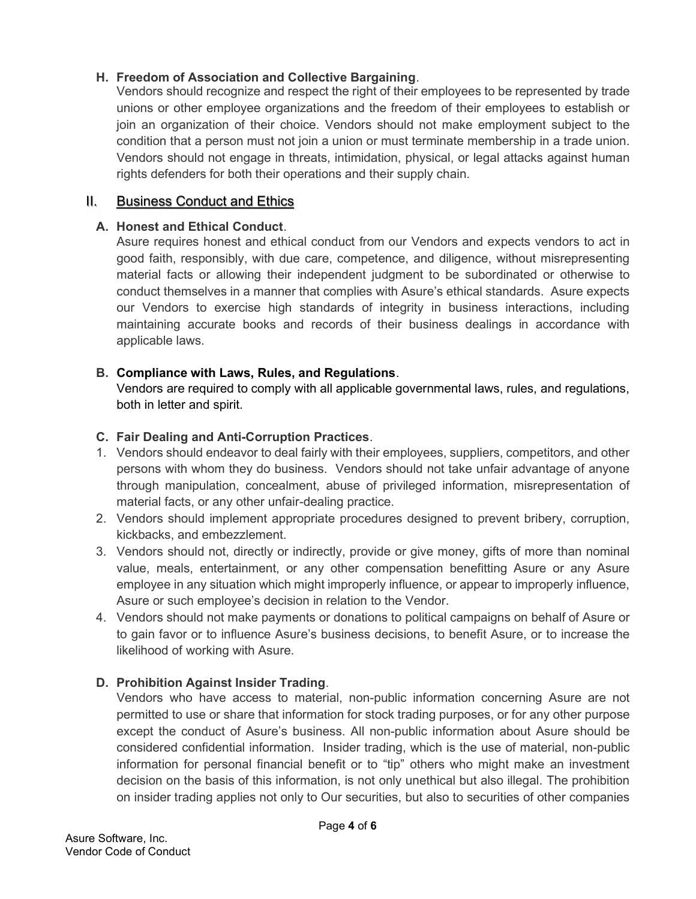# H. Freedom of Association and Collective Bargaining.

Vendors should recognize and respect the right of their employees to be represented by trade unions or other employee organizations and the freedom of their employees to establish or join an organization of their choice. Vendors should not make employment subject to the condition that a person must not join a union or must terminate membership in a trade union. Vendors should not engage in threats, intimidation, physical, or legal attacks against human rights defenders for both their operations and their supply chain.

# II. Business Conduct and Ethics

# A. Honest and Ethical Conduct.

Asure requires honest and ethical conduct from our Vendors and expects vendors to act in good faith, responsibly, with due care, competence, and diligence, without misrepresenting material facts or allowing their independent judgment to be subordinated or otherwise to conduct themselves in a manner that complies with Asure's ethical standards. Asure expects our Vendors to exercise high standards of integrity in business interactions, including maintaining accurate books and records of their business dealings in accordance with applicable laws.

# B. Compliance with Laws, Rules, and Regulations.

Vendors are required to comply with all applicable governmental laws, rules, and regulations, both in letter and spirit.

# C. Fair Dealing and Anti-Corruption Practices.

- 1. Vendors should endeavor to deal fairly with their employees, suppliers, competitors, and other persons with whom they do business. Vendors should not take unfair advantage of anyone through manipulation, concealment, abuse of privileged information, misrepresentation of material facts, or any other unfair-dealing practice.
- 2. Vendors should implement appropriate procedures designed to prevent bribery, corruption, kickbacks, and embezzlement.
- 3. Vendors should not, directly or indirectly, provide or give money, gifts of more than nominal value, meals, entertainment, or any other compensation benefitting Asure or any Asure employee in any situation which might improperly influence, or appear to improperly influence, Asure or such employee's decision in relation to the Vendor.
- 4. Vendors should not make payments or donations to political campaigns on behalf of Asure or to gain favor or to influence Asure's business decisions, to benefit Asure, or to increase the likelihood of working with Asure.

# D. Prohibition Against Insider Trading.

Vendors who have access to material, non-public information concerning Asure are not permitted to use or share that information for stock trading purposes, or for any other purpose except the conduct of Asure's business. All non-public information about Asure should be considered confidential information. Insider trading, which is the use of material, non-public information for personal financial benefit or to "tip" others who might make an investment decision on the basis of this information, is not only unethical but also illegal. The prohibition on insider trading applies not only to Our securities, but also to securities of other companies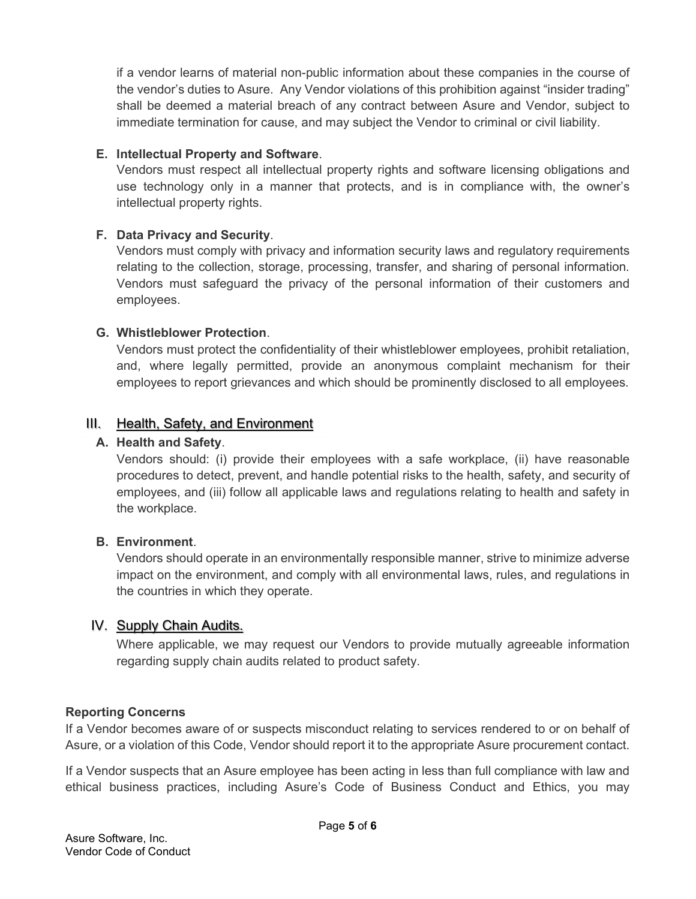if a vendor learns of material non-public information about these companies in the course of the vendor's duties to Asure. Any Vendor violations of this prohibition against "insider trading" shall be deemed a material breach of any contract between Asure and Vendor, subject to immediate termination for cause, and may subject the Vendor to criminal or civil liability.

#### E. Intellectual Property and Software.

Vendors must respect all intellectual property rights and software licensing obligations and use technology only in a manner that protects, and is in compliance with, the owner's intellectual property rights.

### F. Data Privacy and Security.

Vendors must comply with privacy and information security laws and regulatory requirements relating to the collection, storage, processing, transfer, and sharing of personal information. Vendors must safeguard the privacy of the personal information of their customers and employees.

### G. Whistleblower Protection.

Vendors must protect the confidentiality of their whistleblower employees, prohibit retaliation, and, where legally permitted, provide an anonymous complaint mechanism for their employees to report grievances and which should be prominently disclosed to all employees.

# III. Health, Safety, and Environment

#### A. Health and Safety.

Vendors should: (i) provide their employees with a safe workplace, (ii) have reasonable procedures to detect, prevent, and handle potential risks to the health, safety, and security of employees, and (iii) follow all applicable laws and regulations relating to health and safety in the workplace.

# B. Environment.

Vendors should operate in an environmentally responsible manner, strive to minimize adverse impact on the environment, and comply with all environmental laws, rules, and regulations in the countries in which they operate.

# IV. Supply Chain Audits.

Where applicable, we may request our Vendors to provide mutually agreeable information regarding supply chain audits related to product safety.

#### Reporting Concerns

If a Vendor becomes aware of or suspects misconduct relating to services rendered to or on behalf of Asure, or a violation of this Code, Vendor should report it to the appropriate Asure procurement contact.

If a Vendor suspects that an Asure employee has been acting in less than full compliance with law and ethical business practices, including Asure's Code of Business Conduct and Ethics, you may